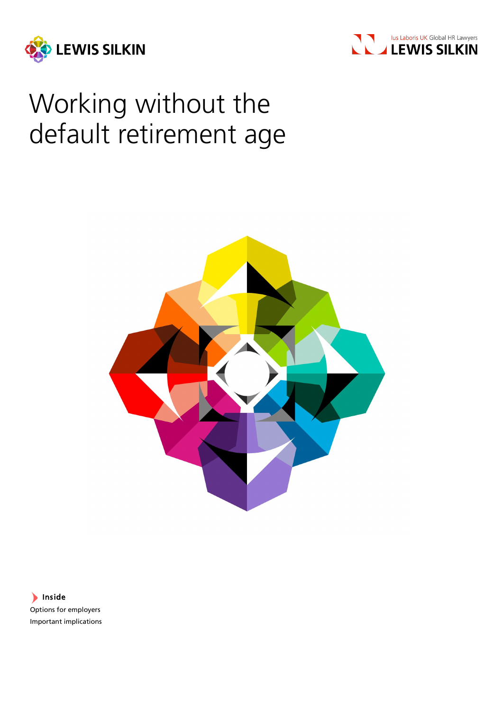



# Working without the default retirement age



Inside Options for employers Important implications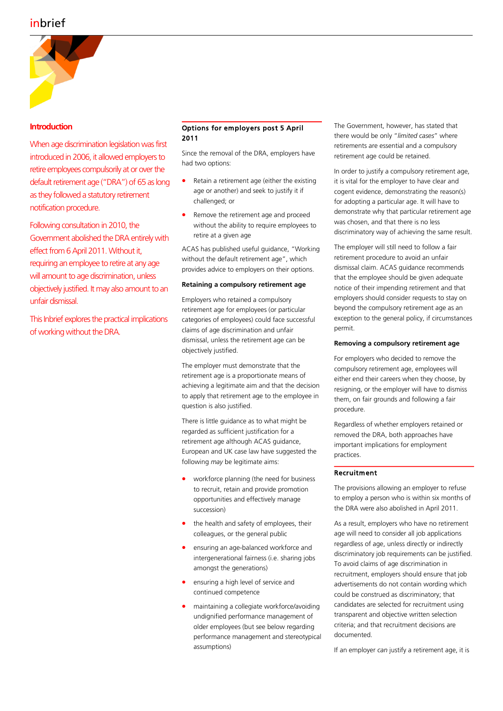# inbrief



## **Introduction**

When age discrimination legislation was first introduced in 2006, it allowed employers to retire employees compulsorily at or over the default retirement age ("DRA") of 65 as long as they followed a statutory retirement notification procedure.

Following consultation in 2010, the Government abolished the DRA entirely with effect from 6 April 2011. Without it, requiring an employee to retire at any age will amount to age discrimination, unless objectively justified. It may also amount to an unfair dismissal.

This Inbrief explores the practical implications of working without the DRA.

### Options for employers post 5 April 2011

Since the removal of the DRA, employers have had two options:

- Retain a retirement age (either the existing age or another) and seek to justify it if challenged; or
- Remove the retirement age and proceed without the ability to require employees to retire at a given age

ACAS has published useful guidance, "Working without the default retirement age", which provides advice to employers on their options.

#### **Retaining a compulsory retirement age**

Employers who retained a compulsory retirement age for employees (or particular categories of employees) could face successful claims of age discrimination and unfair dismissal, unless the retirement age can be objectively justified.

The employer must demonstrate that the retirement age is a proportionate means of achieving a legitimate aim and that the decision to apply that retirement age to the employee in question is also justified.

There is little guidance as to what might be regarded as sufficient justification for a retirement age although ACAS guidance, European and UK case law have suggested the following *may* be legitimate aims:

- workforce planning (the need for business to recruit, retain and provide promotion opportunities and effectively manage succession)
- the health and safety of employees, their colleagues, or the general public
- ensuring an age-balanced workforce and intergenerational fairness (i.e. sharing jobs amongst the generations)
- ensuring a high level of service and continued competence
- maintaining a collegiate workforce/avoiding undignified performance management of older employees (but see below regarding performance management and stereotypical assumptions)

The Government, however, has stated that there would be only "*limited cases*" where retirements are essential and a compulsory retirement age could be retained.

In order to justify a compulsory retirement age, it is vital for the employer to have clear and cogent evidence, demonstrating the reason(s) for adopting a particular age. It will have to demonstrate why that particular retirement age was chosen, and that there is no less discriminatory way of achieving the same result.

The employer will still need to follow a fair retirement procedure to avoid an unfair dismissal claim. ACAS guidance recommends that the employee should be given adequate notice of their impending retirement and that employers should consider requests to stay on beyond the compulsory retirement age as an exception to the general policy, if circumstances permit.

#### **Removing a compulsory retirement age**

For employers who decided to remove the compulsory retirement age, employees will either end their careers when they choose, by resigning, or the employer will have to dismiss them, on fair grounds and following a fair procedure.

Regardless of whether employers retained or removed the DRA, both approaches have important implications for employment practices.

#### Recruitment

The provisions allowing an employer to refuse to employ a person who is within six months of the DRA were also abolished in April 2011.

As a result, employers who have no retirement age will need to consider all job applications regardless of age, unless directly or indirectly discriminatory job requirements can be justified. To avoid claims of age discrimination in recruitment, employers should ensure that job advertisements do not contain wording which could be construed as discriminatory; that candidates are selected for recruitment using transparent and objective written selection criteria; and that recruitment decisions are documented.

If an employer *can* justify a retirement age, it is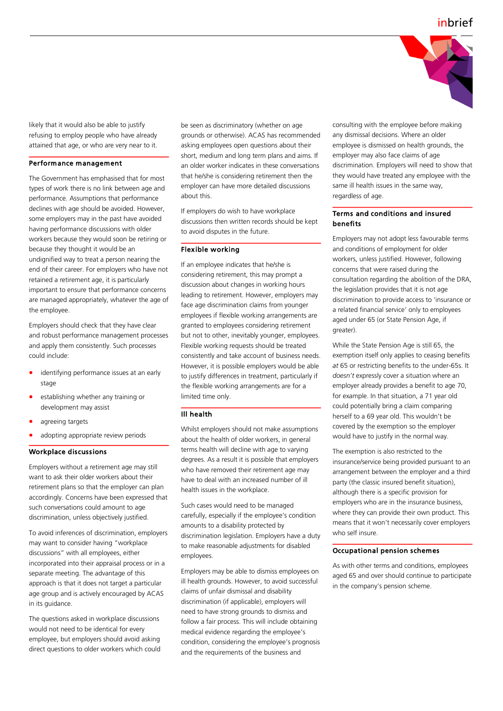

likely that it would also be able to justify refusing to employ people who have already attained that age, or who are very near to it.

#### Performance management

The Government has emphasised that for most types of work there is no link between age and performance. Assumptions that performance declines with age should be avoided. However, some employers may in the past have avoided having performance discussions with older workers because they would soon be retiring or because they thought it would be an undignified way to treat a person nearing the end of their career. For employers who have not retained a retirement age, it is particularly important to ensure that performance concerns are managed appropriately, whatever the age of the employee.

Employers should check that they have clear and robust performance management processes and apply them consistently. Such processes could include:

- identifying performance issues at an early stage
- establishing whether any training or development may assist
- agreeing targets
- adopting appropriate review periods

#### Workplace discussions

Employers without a retirement age may still want to ask their older workers about their retirement plans so that the employer can plan accordingly. Concerns have been expressed that such conversations could amount to age discrimination, unless objectively justified.

To avoid inferences of discrimination, employers may want to consider having "workplace discussions" with all employees, either incorporated into their appraisal process or in a separate meeting. The advantage of this approach is that it does not target a particular age group and is actively encouraged by ACAS in its guidance.

The questions asked in workplace discussions would not need to be identical for every employee, but employers should avoid asking direct questions to older workers which could be seen as discriminatory (whether on age grounds or otherwise). ACAS has recommended asking employees open questions about their short, medium and long term plans and aims. If an older worker indicates in these conversations that he/she is considering retirement then the employer can have more detailed discussions about this.

If employers do wish to have workplace discussions then written records should be kept to avoid disputes in the future.

#### Flexible working

If an employee indicates that he/she is considering retirement, this may prompt a discussion about changes in working hours leading to retirement. However, employers may face age discrimination claims from younger employees if flexible working arrangements are granted to employees considering retirement but not to other, inevitably younger, employees. Flexible working requests should be treated consistently and take account of business needs. However, it is possible employers would be able to justify differences in treatment, particularly if the flexible working arrangements are for a limited time only.

#### Ill health

Whilst employers should not make assumptions about the health of older workers, in general terms health will decline with age to varying degrees. As a result it is possible that employers who have removed their retirement age may have to deal with an increased number of ill health issues in the workplace.

Such cases would need to be managed carefully, especially if the employee's condition amounts to a disability protected by discrimination legislation. Employers have a duty to make reasonable adjustments for disabled employees.

Employers may be able to dismiss employees on ill health grounds. However, to avoid successful claims of unfair dismissal and disability discrimination (if applicable), employers will need to have strong grounds to dismiss and follow a fair process. This will include obtaining medical evidence regarding the employee's condition, considering the employee's prognosis and the requirements of the business and

consulting with the employee before making any dismissal decisions. Where an older employee is dismissed on health grounds, the employer may also face claims of age discrimination. Employers will need to show that they would have treated any employee with the same ill health issues in the same way, regardless of age.

#### Terms and conditions and insured benefits

Employers may not adopt less favourable terms and conditions of employment for older workers, unless justified. However, following concerns that were raised during the consultation regarding the abolition of the DRA, the legislation provides that it is not age discrimination to provide access to 'insurance or a related financial service' only to employees aged under 65 (or State Pension Age, if greater).

While the State Pension Age is still 65, the exemption itself only applies to ceasing benefits *at* 65 or restricting benefits to the under-65s. It *doesn't* expressly cover a situation where an employer already provides a benefit to age 70, for example. In that situation, a 71 year old could potentially bring a claim comparing herself to a 69 year old. This wouldn't be covered by the exemption so the employer would have to justify in the normal way.

The exemption is also restricted to the insurance/service being provided pursuant to an arrangement between the employer and a third party (the classic insured benefit situation), although there is a specific provision for employers who are in the insurance business, where they can provide their own product. This means that it won't necessarily cover employers who self insure.

#### Occupational pension schemes

As with other terms and conditions, employees aged 65 and over should continue to participate in the company's pension scheme.